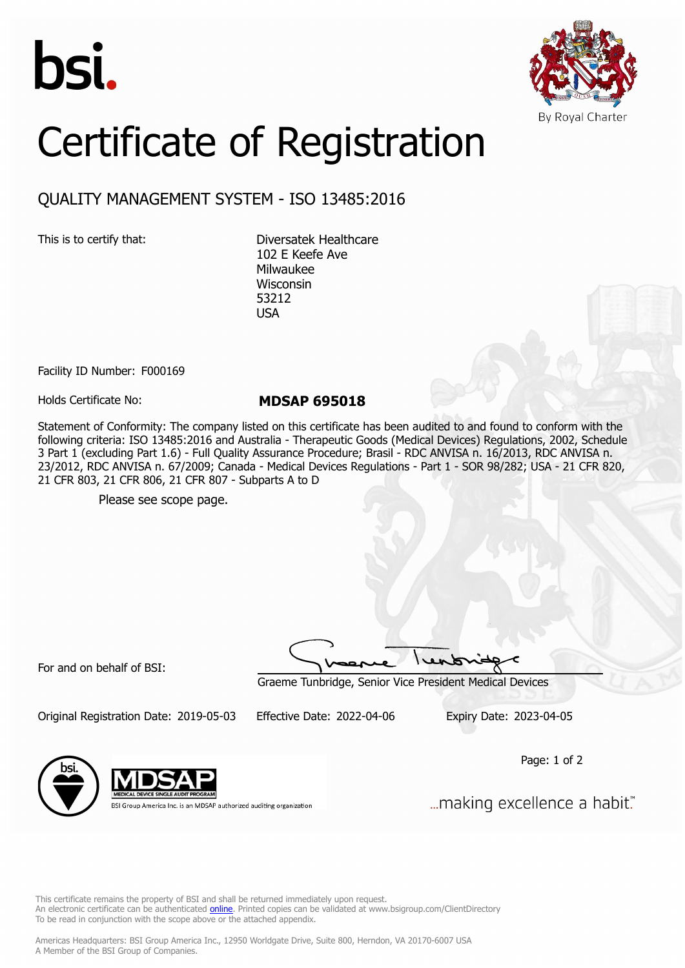



## Certificate of Registration

## QUALITY MANAGEMENT SYSTEM - ISO 13485:2016

This is to certify that: Diversatek Healthcare 102 E Keefe Ave Milwaukee Wisconsin 53212 USA

Facility ID Number: F000169

Holds Certificate No: **MDSAP 695018**

Statement of Conformity: The company listed on this certificate has been audited to and found to conform with the following criteria: ISO 13485:2016 and Australia - Therapeutic Goods (Medical Devices) Regulations, 2002, Schedule 3 Part 1 (excluding Part 1.6) - Full Quality Assurance Procedure; Brasil - RDC ANVISA n. 16/2013, RDC ANVISA n. 23/2012, RDC ANVISA n. 67/2009; Canada - Medical Devices Regulations - Part 1 - SOR 98/282; USA - 21 CFR 820, 21 CFR 803, 21 CFR 806, 21 CFR 807 - Subparts A to D

Please see scope page.

For and on behalf of BSI:

Graeme Tunbridge, Senior Vice President Medical Devices

Original Registration Date: 2019-05-03 Effective Date: 2022-04-06 Expiry Date: 2023-04-05

Page: 1 of 2



BSI Group America Inc. is an MDSAP authorized auditing organization

... making excellence a habit."

This certificate remains the property of BSI and shall be returned immediately upon request. An electronic certificate can be authenticated *[online](https://pgplus.bsigroup.com/CertificateValidation/CertificateValidator.aspx?CertificateNumber=MDSAP+695018&ReIssueDate=06%2f04%2f2022&Template=inc)*. Printed copies can be validated at www.bsigroup.com/ClientDirectory To be read in conjunction with the scope above or the attached appendix.

Americas Headquarters: BSI Group America Inc., 12950 Worldgate Drive, Suite 800, Herndon, VA 20170-6007 USA A Member of the BSI Group of Companies.